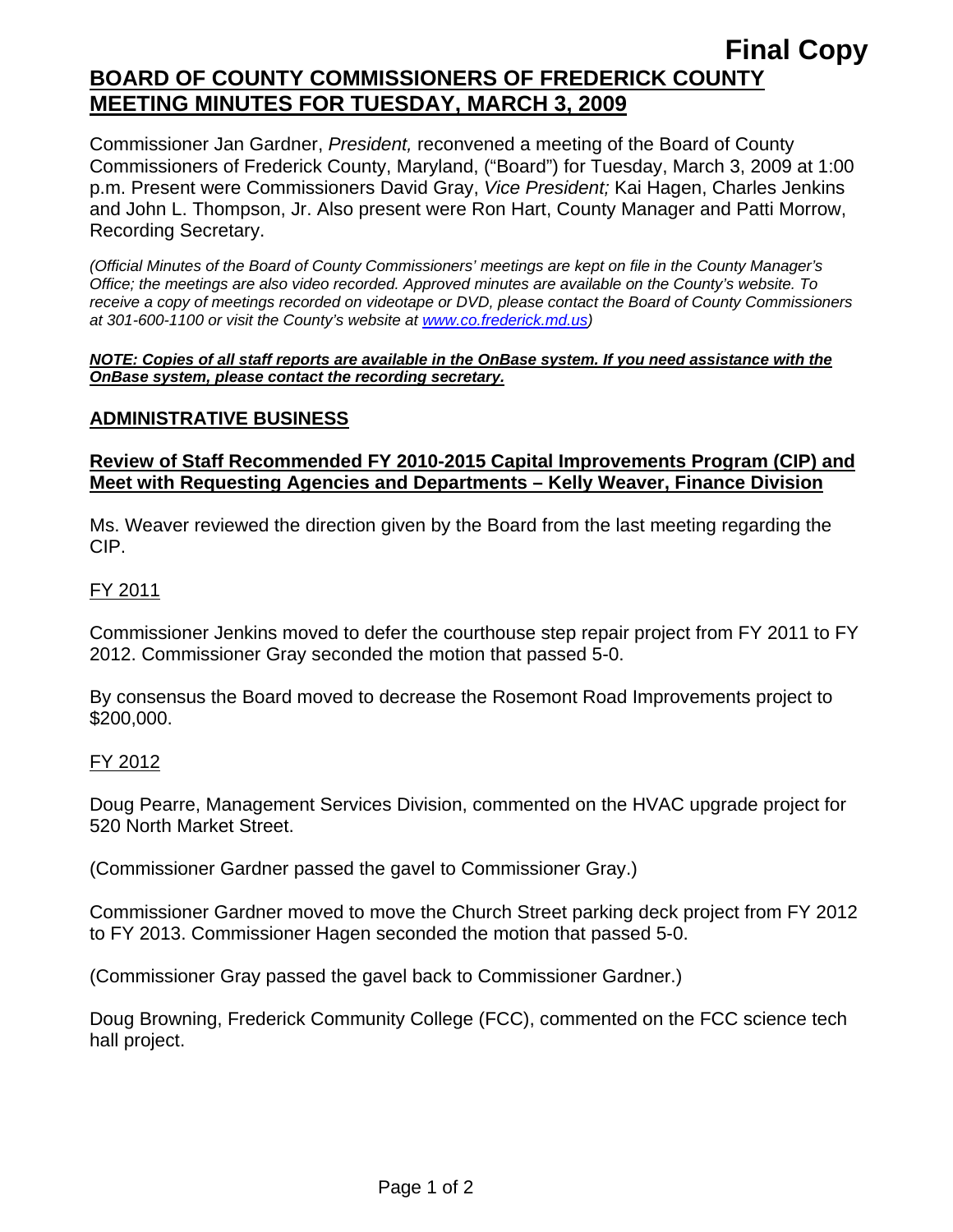# **Final Copy BOARD OF COUNTY COMMISSIONERS OF FREDERICK COUNTY MEETING MINUTES FOR TUESDAY, MARCH 3, 2009**

Commissioner Jan Gardner, *President,* reconvened a meeting of the Board of County Commissioners of Frederick County, Maryland, ("Board") for Tuesday, March 3, 2009 at 1:00 p.m. Present were Commissioners David Gray, *Vice President;* Kai Hagen, Charles Jenkins and John L. Thompson, Jr. Also present were Ron Hart, County Manager and Patti Morrow, Recording Secretary.

*(Official Minutes of the Board of County Commissioners' meetings are kept on file in the County Manager's Office; the meetings are also video recorded. Approved minutes are available on the County's website. To receive a copy of meetings recorded on videotape or DVD, please contact the Board of County Commissioners at 301-600-1100 or visit the County's website at [www.co.frederick.md.us\)](http://www.co.frederick.md.us/)* 

#### *NOTE: Copies of all staff reports are available in the OnBase system. If you need assistance with the OnBase system, please contact the recording secretary.*

## **ADMINISTRATIVE BUSINESS**

### **Review of Staff Recommended FY 2010-2015 Capital Improvements Program (CIP) and Meet with Requesting Agencies and Departments – Kelly Weaver, Finance Division**

Ms. Weaver reviewed the direction given by the Board from the last meeting regarding the CIP.

### FY 2011

Commissioner Jenkins moved to defer the courthouse step repair project from FY 2011 to FY 2012. Commissioner Gray seconded the motion that passed 5-0.

By consensus the Board moved to decrease the Rosemont Road Improvements project to \$200,000.

### FY 2012

Doug Pearre, Management Services Division, commented on the HVAC upgrade project for 520 North Market Street.

(Commissioner Gardner passed the gavel to Commissioner Gray.)

Commissioner Gardner moved to move the Church Street parking deck project from FY 2012 to FY 2013. Commissioner Hagen seconded the motion that passed 5-0.

(Commissioner Gray passed the gavel back to Commissioner Gardner.)

Doug Browning, Frederick Community College (FCC), commented on the FCC science tech hall project.